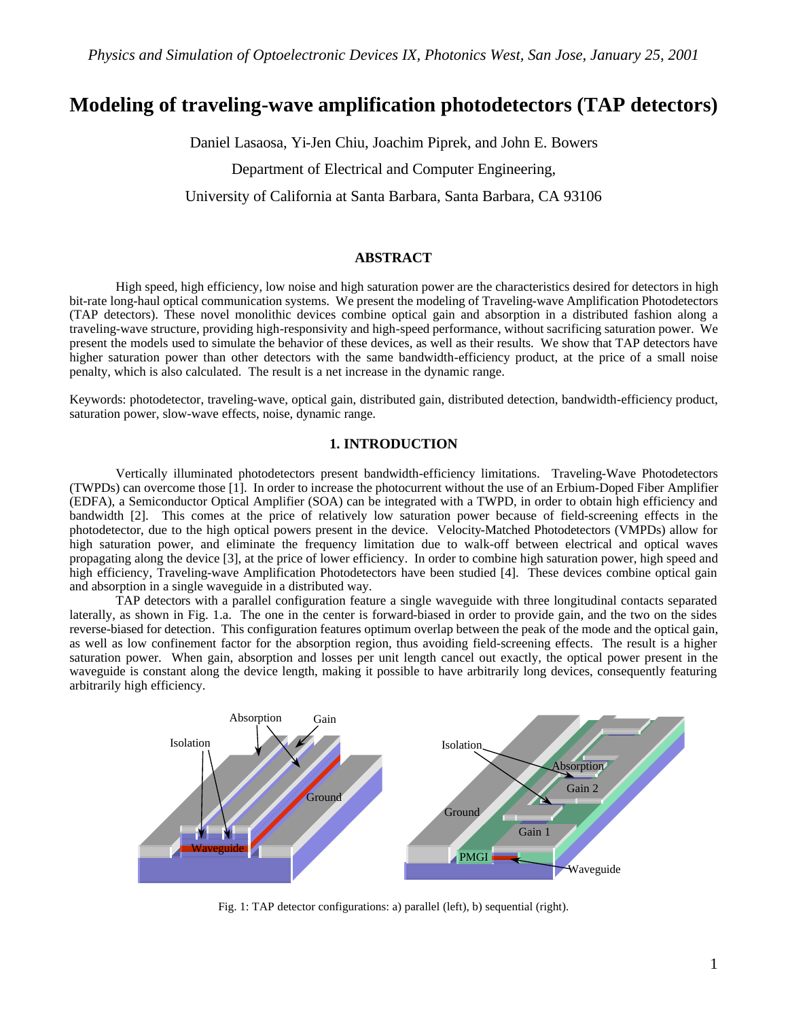# **Modeling of traveling-wave amplification photodetectors (TAP detectors)**

Daniel Lasaosa, Yi-Jen Chiu, Joachim Piprek, and John E. Bowers

Department of Electrical and Computer Engineering,

University of California at Santa Barbara, Santa Barbara, CA 93106

# **ABSTRACT**

High speed, high efficiency, low noise and high saturation power are the characteristics desired for detectors in high bit-rate long-haul optical communication systems. We present the modeling of Traveling-wave Amplification Photodetectors (TAP detectors). These novel monolithic devices combine optical gain and absorption in a distributed fashion along a traveling-wave structure, providing high-responsivity and high-speed performance, without sacrificing saturation power. We present the models used to simulate the behavior of these devices, as well as their results. We show that TAP detectors have higher saturation power than other detectors with the same bandwidth-efficiency product, at the price of a small noise penalty, which is also calculated. The result is a net increase in the dynamic range.

Keywords: photodetector, traveling-wave, optical gain, distributed gain, distributed detection, bandwidth-efficiency product, saturation power, slow-wave effects, noise, dynamic range.

# **1. INTRODUCTION**

Vertically illuminated photodetectors present bandwidth-efficiency limitations. Traveling-Wave Photodetectors (TWPDs) can overcome those [1]. In order to increase the photocurrent without the use of an Erbium-Doped Fiber Amplifier (EDFA), a Semiconductor Optical Amplifier (SOA) can be integrated with a TWPD, in order to obtain high efficiency and bandwidth [2]. This comes at the price of relatively low saturation power because of field-screening effects in the photodetector, due to the high optical powers present in the device. Velocity-Matched Photodetectors (VMPDs) allow for high saturation power, and eliminate the frequency limitation due to walk-off between electrical and optical waves propagating along the device [3], at the price of lower efficiency. In order to combine high saturation power, high speed and high efficiency, Traveling-wave Amplification Photodetectors have been studied [4]. These devices combine optical gain and absorption in a single waveguide in a distributed way.

TAP detectors with a parallel configuration feature a single waveguide with three longitudinal contacts separated laterally, as shown in Fig. 1.a. The one in the center is forward-biased in order to provide gain, and the two on the sides reverse-biased for detection. This configuration features optimum overlap between the peak of the mode and the optical gain, as well as low confinement factor for the absorption region, thus avoiding field-screening effects. The result is a higher saturation power. When gain, absorption and losses per unit length cancel out exactly, the optical power present in the waveguide is constant along the device length, making it possible to have arbitrarily long devices, consequently featuring arbitrarily high efficiency.



Fig. 1: TAP detector configurations: a) parallel (left), b) sequential (right).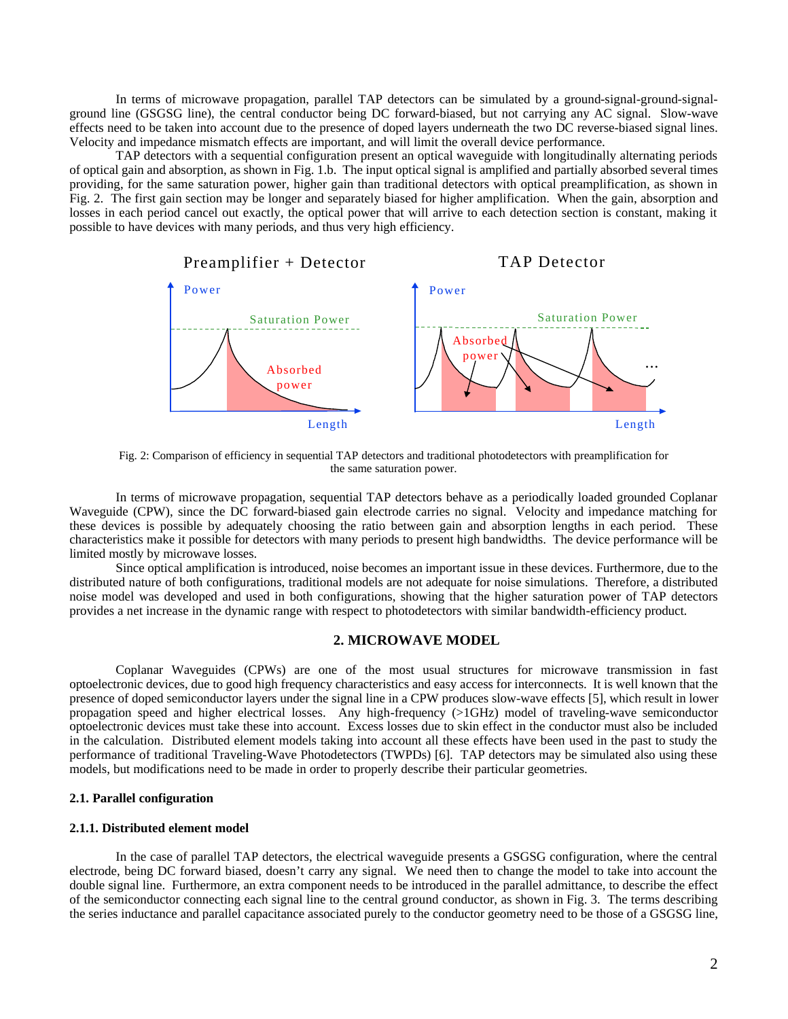In terms of microwave propagation, parallel TAP detectors can be simulated by a ground-signal-ground-signalground line (GSGSG line), the central conductor being DC forward-biased, but not carrying any AC signal. Slow-wave effects need to be taken into account due to the presence of doped layers underneath the two DC reverse-biased signal lines. Velocity and impedance mismatch effects are important, and will limit the overall device performance.

TAP detectors with a sequential configuration present an optical waveguide with longitudinally alternating periods of optical gain and absorption, as shown in Fig. 1.b. The input optical signal is amplified and partially absorbed several times providing, for the same saturation power, higher gain than traditional detectors with optical preamplification, as shown in Fig. 2. The first gain section may be longer and separately biased for higher amplification. When the gain, absorption and losses in each period cancel out exactly, the optical power that will arrive to each detection section is constant, making it possible to have devices with many periods, and thus very high efficiency.



Fig. 2: Comparison of efficiency in sequential TAP detectors and traditional photodetectors with preamplification for the same saturation power.

In terms of microwave propagation, sequential TAP detectors behave as a periodically loaded grounded Coplanar Waveguide (CPW), since the DC forward-biased gain electrode carries no signal. Velocity and impedance matching for these devices is possible by adequately choosing the ratio between gain and absorption lengths in each period. These characteristics make it possible for detectors with many periods to present high bandwidths. The device performance will be limited mostly by microwave losses.

Since optical amplification is introduced, noise becomes an important issue in these devices. Furthermore, due to the distributed nature of both configurations, traditional models are not adequate for noise simulations. Therefore, a distributed noise model was developed and used in both configurations, showing that the higher saturation power of TAP detectors provides a net increase in the dynamic range with respect to photodetectors with similar bandwidth-efficiency product.

## **2. MICROWAVE MODEL**

Coplanar Waveguides (CPWs) are one of the most usual structures for microwave transmission in fast optoelectronic devices, due to good high frequency characteristics and easy access for interconnects. It is well known that the presence of doped semiconductor layers under the signal line in a CPW produces slow-wave effects [5], which result in lower propagation speed and higher electrical losses. Any high-frequency (>1GHz) model of traveling-wave semiconductor optoelectronic devices must take these into account. Excess losses due to skin effect in the conductor must also be included in the calculation. Distributed element models taking into account all these effects have been used in the past to study the performance of traditional Traveling-Wave Photodetectors (TWPDs) [6]. TAP detectors may be simulated also using these models, but modifications need to be made in order to properly describe their particular geometries.

## **2.1. Parallel configuration**

## **2.1.1. Distributed element model**

In the case of parallel TAP detectors, the electrical waveguide presents a GSGSG configuration, where the central electrode, being DC forward biased, doesn't carry any signal. We need then to change the model to take into account the double signal line. Furthermore, an extra component needs to be introduced in the parallel admittance, to describe the effect of the semiconductor connecting each signal line to the central ground conductor, as shown in Fig. 3. The terms describing the series inductance and parallel capacitance associated purely to the conductor geometry need to be those of a GSGSG line,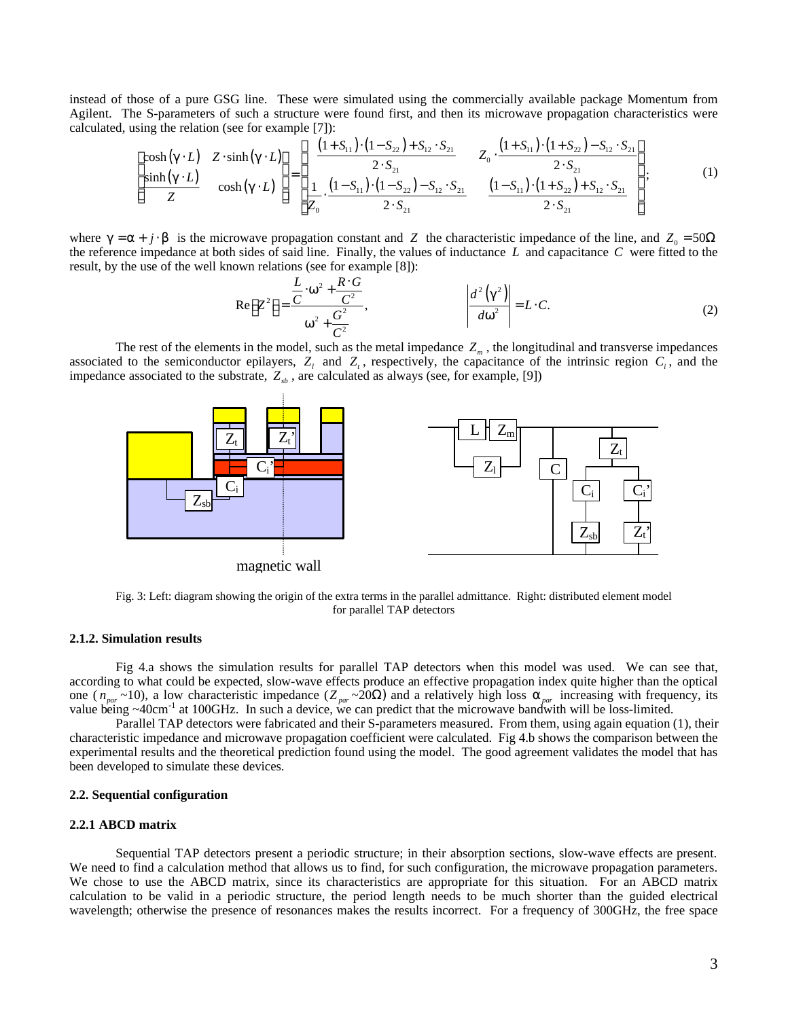instead of those of a pure GSG line. These were simulated using the commercially available package Momentum from Agilent. The S-parameters of such a structure were found first, and then its microwave propagation characteristics were calculated, using the relation (see for example [7]):

$$
\begin{bmatrix}\n\cosh(g \cdot L) & Z \cdot \sinh(g \cdot L) \\
\sinh(g \cdot L) & \cosh(g \cdot L)\n\end{bmatrix} = \begin{bmatrix}\n\frac{(1 + S_{11}) \cdot (1 - S_{22}) + S_{12} \cdot S_{21}}{2 \cdot S_{21}} & Z_0 \cdot \frac{(1 + S_{11}) \cdot (1 + S_{22}) - S_{12} \cdot S_{21}}{2 \cdot S_{21}} \\
\frac{1}{Z_0} \cdot \frac{(1 - S_{11}) \cdot (1 - S_{22}) - S_{12} \cdot S_{21}}{2 \cdot S_{21}} & \frac{(1 - S_{11}) \cdot (1 + S_{22}) + S_{12} \cdot S_{21}}{2 \cdot S_{21}}\n\end{bmatrix};
$$
\n(1)

where  $g = a + j \cdot b$  is the microwave propagation constant and *Z* the characteristic impedance of the line, and  $Z_0 = 50\Omega$ the reference impedance at both sides of said line. Finally, the values of inductance *L* and capacitance *C* were fitted to the result, by the use of the well known relations (see for example [8]):

$$
\operatorname{Re}\left[Z^{2}\right] = \frac{\frac{L}{C} \cdot w^{2} + \frac{R \cdot G}{C^{2}}}{w^{2} + \frac{G^{2}}{C^{2}}}, \qquad \left|\frac{d^{2}\left(g^{2}\right)}{dw^{2}}\right| = L \cdot C. \qquad (2)
$$

The rest of the elements in the model, such as the metal impedance  $Z<sub>m</sub>$ , the longitudinal and transverse impedances associated to the semiconductor epilayers,  $Z_i$  and  $Z_i$ , respectively, the capacitance of the intrinsic region  $C_i$ , and the impedance associated to the substrate,  $Z_{sb}$ , are calculated as always (see, for example, [9])



Fig. 3: Left: diagram showing the origin of the extra terms in the parallel admittance. Right: distributed element model for parallel TAP detectors

## **2.1.2. Simulation results**

Fig 4.a shows the simulation results for parallel TAP detectors when this model was used. We can see that, according to what could be expected, slow-wave effects produce an effective propagation index quite higher than the optical one ( $n_{par} \sim 10$ ), a low characteristic impedance ( $Z_{par} \sim 20\Omega$ ) and a relatively high loss  $a_{par}$  increasing with frequency, its value being  $\sim$ 40cm<sup>-1</sup> at 100GHz. In such a device, we can predict that the microwave bandwith will be loss-limited.

Parallel TAP detectors were fabricated and their S-parameters measured. From them, using again equation (1), their characteristic impedance and microwave propagation coefficient were calculated. Fig 4.b shows the comparison between the experimental results and the theoretical prediction found using the model. The good agreement validates the model that has been developed to simulate these devices.

#### **2.2. Sequential configuration**

# **2.2.1 ABCD matrix**

Sequential TAP detectors present a periodic structure; in their absorption sections, slow-wave effects are present. We need to find a calculation method that allows us to find, for such configuration, the microwave propagation parameters. We chose to use the ABCD matrix, since its characteristics are appropriate for this situation. For an ABCD matrix calculation to be valid in a periodic structure, the period length needs to be much shorter than the guided electrical wavelength; otherwise the presence of resonances makes the results incorrect. For a frequency of 300GHz, the free space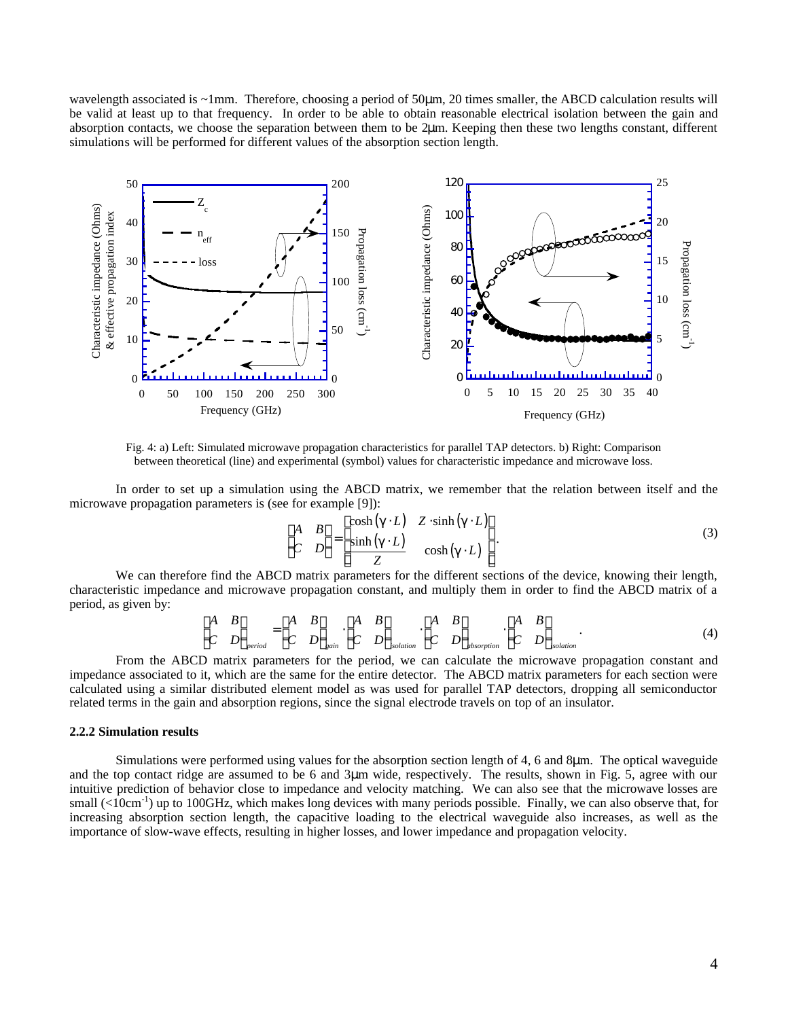wavelength associated is ~1mm. Therefore, choosing a period of 50μm, 20 times smaller, the ABCD calculation results will be valid at least up to that frequency. In order to be able to obtain reasonable electrical isolation between the gain and absorption contacts, we choose the separation between them to be 2μm. Keeping then these two lengths constant, different simulations will be performed for different values of the absorption section length.



 Fig. 4: a) Left: Simulated microwave propagation characteristics for parallel TAP detectors. b) Right: Comparison between theoretical (line) and experimental (symbol) values for characteristic impedance and microwave loss.

In order to set up a simulation using the ABCD matrix, we remember that the relation between itself and the microwave propagation parameters is (see for example [9]):

$$
\begin{bmatrix} A & B \\ C & D \end{bmatrix} = \begin{bmatrix} \cosh(g \cdot L) & Z \cdot \sinh(g \cdot L) \\ \frac{\sinh(g \cdot L)}{Z} & \cosh(g \cdot L) \end{bmatrix}.
$$
 (3)

We can therefore find the ABCD matrix parameters for the different sections of the device, knowing their length, characteristic impedance and microwave propagation constant, and multiply them in order to find the ABCD matrix of a period, as given by:

$$
\begin{bmatrix} A & B \\ C & D \end{bmatrix}_{period} = \begin{bmatrix} A & B \\ C & D \end{bmatrix}_{gain} \begin{bmatrix} A & B \\ C & D \end{bmatrix}_{isolation} \begin{bmatrix} A & B \\ C & D \end{bmatrix}_{absorption} \begin{bmatrix} A & B \\ C & D \end{bmatrix}_{isolation} . \tag{4}
$$

From the ABCD matrix parameters for the period, we can calculate the microwave propagation constant and impedance associated to it, which are the same for the entire detector. The ABCD matrix parameters for each section were calculated using a similar distributed element model as was used for parallel TAP detectors, dropping all semiconductor related terms in the gain and absorption regions, since the signal electrode travels on top of an insulator.

## **2.2.2 Simulation results**

Simulations were performed using values for the absorption section length of 4, 6 and 8μm. The optical waveguide and the top contact ridge are assumed to be 6 and 3μm wide, respectively. The results, shown in Fig. 5, agree with our intuitive prediction of behavior close to impedance and velocity matching. We can also see that the microwave losses are small  $(*10cm<sup>-1</sup>*)$  up to 100GHz, which makes long devices with many periods possible. Finally, we can also observe that, for increasing absorption section length, the capacitive loading to the electrical waveguide also increases, as well as the importance of slow-wave effects, resulting in higher losses, and lower impedance and propagation velocity.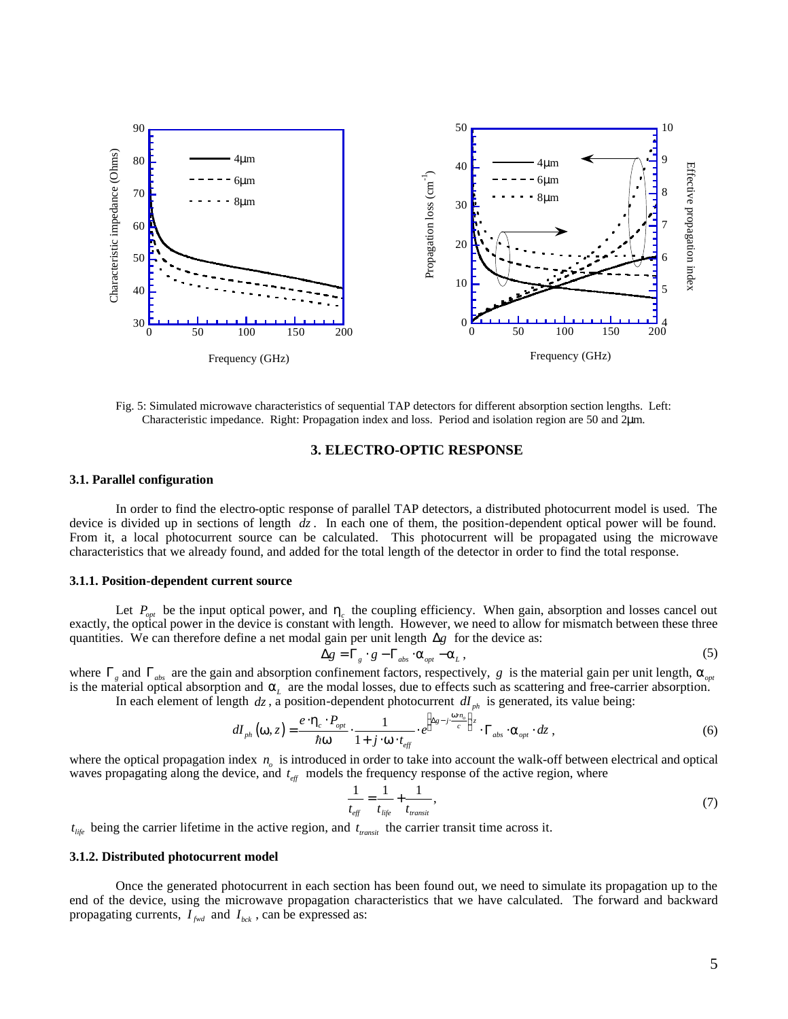

Fig. 5: Simulated microwave characteristics of sequential TAP detectors for different absorption section lengths. Left: Characteristic impedance. Right: Propagation index and loss. Period and isolation region are 50 and 2μm.

# **3. ELECTRO-OPTIC RESPONSE**

## **3.1. Parallel configuration**

In order to find the electro-optic response of parallel TAP detectors, a distributed photocurrent model is used. The device is divided up in sections of length *dz* . In each one of them, the position-dependent optical power will be found. From it, a local photocurrent source can be calculated. This photocurrent will be propagated using the microwave characteristics that we already found, and added for the total length of the detector in order to find the total response.

#### **3.1.1. Position-dependent current source**

Let  $P_{opt}$  be the input optical power, and  $h_c$  the coupling efficiency. When gain, absorption and losses cancel out exactly, the optical power in the device is constant with length. However, we need to allow for mismatch between these three quantities. We can therefore define a net modal gain per unit length  $\Delta g$  for the device as:

$$
\Delta g = \Gamma_g \cdot g - \Gamma_{\text{abs}} \cdot a_{\text{opt}} - a_L \,, \tag{5}
$$

where Γ*<sup>g</sup>* and Γ*abs* are the gain and absorption confinement factors, respectively, *g* is the material gain per unit length, *aopt* is the material optical absorption and  $a_L$  are the modal losses, due to effects such as scattering and free-carrier absorption. In each element of length  $dz$ , a position-dependent photocurrent  $dI_{ph}$  is generated, its value being:

$$
dI_{ph}(\mathbf{w},z) = \frac{e \cdot \mathbf{h}_c \cdot P_{opt}}{\hbar \mathbf{w}} \cdot \frac{1}{1+j \cdot \mathbf{w} \cdot t_{eff}} \cdot e^{\left(\Delta z - j \cdot \frac{\mathbf{w} \cdot n_o}{c}\right)z} \cdot \Gamma_{abs} \cdot \mathbf{a}_{opt} \cdot dz,
$$
(6)

where the optical propagation index  $n<sub>o</sub>$  is introduced in order to take into account the walk-off between electrical and optical waves propagating along the device, and  $t_{\text{eff}}$  models the frequency response of the active region, where

$$
\frac{1}{t_{\text{eff}}} = \frac{1}{t_{\text{life}}} + \frac{1}{t_{\text{transit}}},\tag{7}
$$

 $t_{\text{life}}$  being the carrier lifetime in the active region, and  $t_{\text{transit}}$  the carrier transit time across it.

## **3.1.2. Distributed photocurrent model**

Once the generated photocurrent in each section has been found out, we need to simulate its propagation up to the end of the device, using the microwave propagation characteristics that we have calculated. The forward and backward propagating currents,  $I_{\text{fwd}}$  and  $I_{\text{bck}}$ , can be expressed as: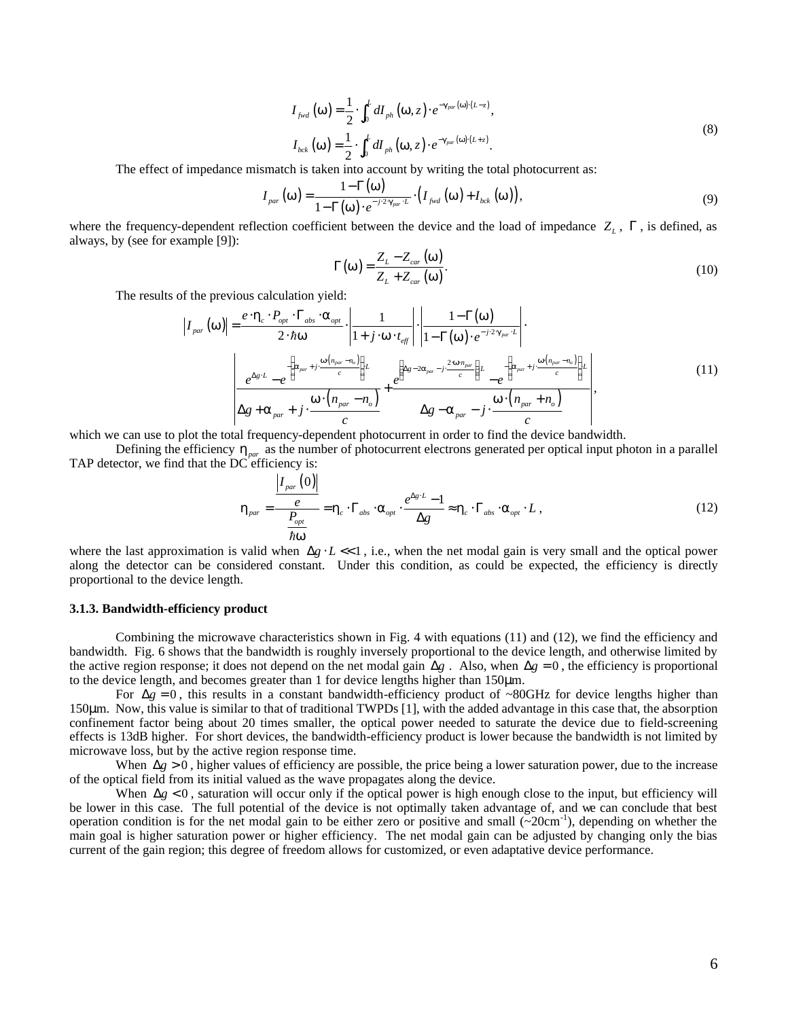$$
I_{\text{fwd}}\left(\mathbf{w}\right) = \frac{1}{2} \cdot \int_0^L dI_{\text{ph}}\left(\mathbf{w}, z\right) \cdot e^{-\mathbf{g}_{\text{par}}\left(\mathbf{w}\right) \cdot (L-z)},
$$
\n
$$
I_{\text{bck}}\left(\mathbf{w}\right) = \frac{1}{2} \cdot \int_0^L dI_{\text{ph}}\left(\mathbf{w}, z\right) \cdot e^{-\mathbf{g}_{\text{par}}\left(\mathbf{w}\right) \cdot (L+z)}.
$$
\n(8)

The effect of impedance mismatch is taken into account by writing the total photocurrent as:

$$
I_{\text{par}}\left(\mathbf{w}\right) = \frac{1-\Gamma\left(\mathbf{w}\right)}{1-\Gamma\left(\mathbf{w}\right)\cdot e^{-j\cdot2\cdot\mathbf{g}_{\text{par}}\cdot L}}\cdot\left(I_{\text{fwd}}\left(\mathbf{w}\right)+I_{\text{bck}}\left(\mathbf{w}\right)\right),\tag{9}
$$

where the frequency-dependent reflection coefficient between the device and the load of impedance  $Z_L$ , Γ, is defined, as always, by (see for example [9]):

$$
\Gamma(\mathbf{w}) = \frac{Z_L - Z_{car}(\mathbf{w})}{Z_L + Z_{car}(\mathbf{w})}.
$$
\n(10)

The results of the previous calculation yield:

$$
I_{par}(\mathbf{w}) = \frac{e \cdot \mathbf{h}_c \cdot P_{opt} \cdot \Gamma_{abs} \cdot \mathbf{a}_{opt}}{2 \cdot \hbar \mathbf{w}} \cdot \left| \frac{1}{1 + j \cdot \mathbf{w} \cdot t_{eff}} \right| \cdot \left| \frac{1 - \Gamma(\mathbf{w})}{1 - \Gamma(\mathbf{w}) \cdot e^{-j \cdot 2 \cdot \mathbf{g}_{par} \cdot L}} \right|.
$$
\n
$$
\frac{e^{\Delta g \cdot L} - e^{\left\{ \mathbf{a}_{par} + j \cdot \frac{\mathbf{w}(n_{par} - n_o)}{c} \right\}L}}{\Delta g + \mathbf{a}_{par} + j \cdot \frac{\mathbf{w} \cdot (n_{par} - n_o)}{c}} \right) \cdot \frac{e^{\left\{ \Delta g - 2\mathbf{a}_{par} - j \cdot \frac{2 \cdot \mathbf{w} \cdot n_{par}}{c} \right\}L}}{\Delta g - \mathbf{a}_{par} - j \cdot \frac{\mathbf{w} \cdot (n_{par} + n_o)}{c}} \right)}.
$$
\n(11)

which we can use to plot the total frequency-dependent photocurrent in order to find the device bandwidth.

Defining the efficiency *hpar* as the number of photocurrent electrons generated per optical input photon in a parallel TAP detector, we find that the DC efficiency is:

$$
\boldsymbol{h}_{\text{par}} = \frac{\left| I_{\text{par}}\left(0\right) \right|}{\frac{e}{\hbar \boldsymbol{w}}} = \boldsymbol{h}_{\text{c}} \cdot \boldsymbol{\Gamma}_{\text{abs}} \cdot \boldsymbol{a}_{\text{opt}} \cdot \frac{e^{\Delta g \cdot L} - 1}{\Delta g} \approx \boldsymbol{h}_{\text{c}} \cdot \boldsymbol{\Gamma}_{\text{abs}} \cdot \boldsymbol{a}_{\text{opt}} \cdot L , \qquad (12)
$$

where the last approximation is valid when Δ*g · L* <<1, i.e., when the net modal gain is very small and the optical power along the detector can be considered constant. Under this condition, as could be expected, the efficiency is directly proportional to the device length.

#### **3.1.3. Bandwidth-efficiency product**

Combining the microwave characteristics shown in Fig. 4 with equations (11) and (12), we find the efficiency and bandwidth. Fig. 6 shows that the bandwidth is roughly inversely proportional to the device length, and otherwise limited by the active region response; it does not depend on the net modal gain  $\Delta g$ . Also, when  $\Delta g = 0$ , the efficiency is proportional to the device length, and becomes greater than 1 for device lengths higher than 150μm.

For  $\Delta g = 0$ , this results in a constant bandwidth-efficiency product of ~80GHz for device lengths higher than 150μm. Now, this value is similar to that of traditional TWPDs [1], with the added advantage in this case that, the absorption confinement factor being about 20 times smaller, the optical power needed to saturate the device due to field-screening effects is 13dB higher. For short devices, the bandwidth-efficiency product is lower because the bandwidth is not limited by microwave loss, but by the active region response time.

When  $\Delta g > 0$ , higher values of efficiency are possible, the price being a lower saturation power, due to the increase of the optical field from its initial valued as the wave propagates along the device.

When  $\Delta g < 0$ , saturation will occur only if the optical power is high enough close to the input, but efficiency will be lower in this case. The full potential of the device is not optimally taken advantage of, and we can conclude that best operation condition is for the net modal gain to be either zero or positive and small  $(\sim 20 \text{cm}^{-1})$ , depending on whether the main goal is higher saturation power or higher efficiency. The net modal gain can be adjusted by changing only the bias current of the gain region; this degree of freedom allows for customized, or even adaptative device performance.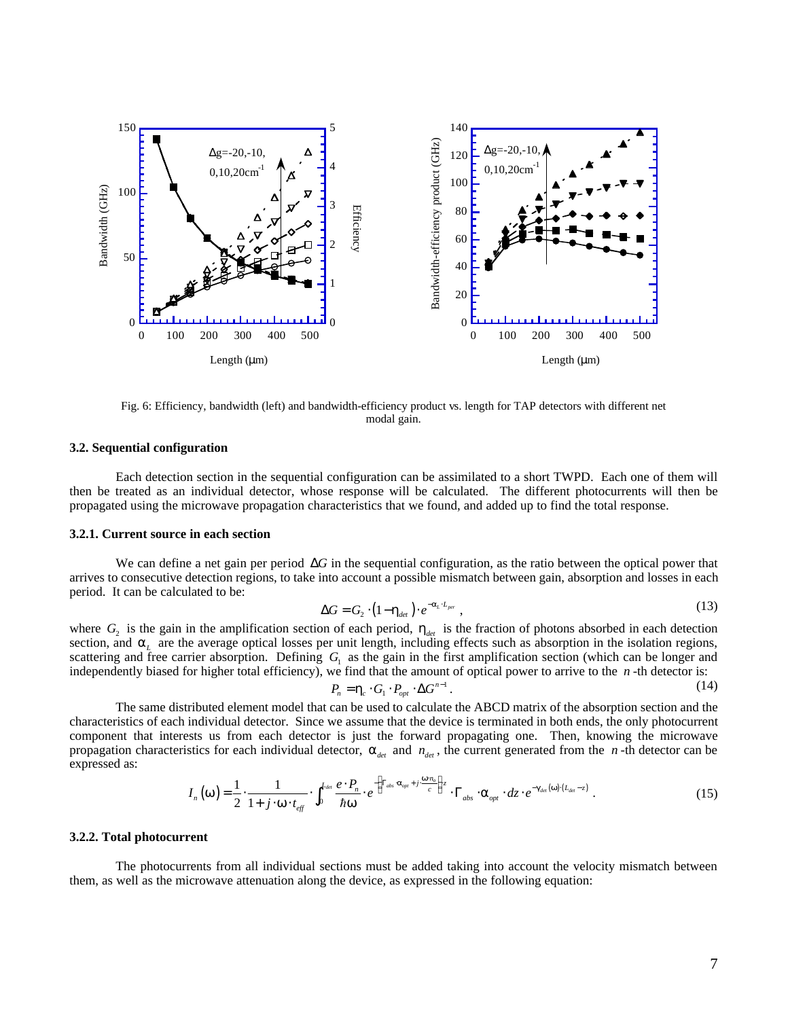

Fig. 6: Efficiency, bandwidth (left) and bandwidth-efficiency product vs. length for TAP detectors with different net modal gain.

#### **3.2. Sequential configuration**

Each detection section in the sequential configuration can be assimilated to a short TWPD. Each one of them will then be treated as an individual detector, whose response will be calculated. The different photocurrents will then be propagated using the microwave propagation characteristics that we found, and added up to find the total response.

## **3.2.1. Current source in each section**

We can define a net gain per period Δ*G* in the sequential configuration, as the ratio between the optical power that arrives to consecutive detection regions, to take into account a possible mismatch between gain, absorption and losses in each period. It can be calculated to be:

$$
\Delta G = G_2 \cdot (1 - \mathbf{h}_{\text{det}}) \cdot e^{-\mathbf{a}_L \cdot L_{\text{per}}}, \tag{13}
$$

where  $G_2$  is the gain in the amplification section of each period,  $h_{det}$  is the fraction of photons absorbed in each detection section, and  $a<sub>L</sub>$  are the average optical losses per unit length, including effects such as absorption in the isolation regions, scattering and free carrier absorption. Defining  $G<sub>1</sub>$  as the gain in the first amplification section (which can be longer and independently biased for higher total efficiency), we find that the amount of optical power to arrive to the *n* -th detector is:

$$
P_n = \mathbf{h}_c \cdot G_1 \cdot P_{opt} \cdot \Delta G^{n-1} \,. \tag{14}
$$

The same distributed element model that can be used to calculate the ABCD matrix of the absorption section and the characteristics of each individual detector. Since we assume that the device is terminated in both ends, the only photocurrent component that interests us from each detector is just the forward propagating one. Then, knowing the microwave propagation characteristics for each individual detector,  $a_{\text{det}}$  and  $n_{\text{det}}$ , the current generated from the *n*-th detector can be expressed as:

$$
I_n(\boldsymbol{w}) = \frac{1}{2} \cdot \frac{1}{1+j \cdot \boldsymbol{w} \cdot t_{\text{eff}}} \cdot \int_0^{L_{\text{det}}} \frac{e \cdot P_n}{\hbar \boldsymbol{w}} \cdot e^{-\left(\Gamma_{\text{abs}} \cdot \mathbf{a}_{\text{opt}} + j \cdot \frac{\boldsymbol{w} \cdot n_o}{c}\right) z} \cdot \Gamma_{\text{abs}} \cdot \mathbf{a}_{\text{opt}} \cdot dz \cdot e^{-\mathbf{g}_{\text{det}}(\boldsymbol{w}) \cdot (L_{\text{det}} - z)} \tag{15}
$$

#### **3.2.2. Total photocurrent**

The photocurrents from all individual sections must be added taking into account the velocity mismatch between them, as well as the microwave attenuation along the device, as expressed in the following equation: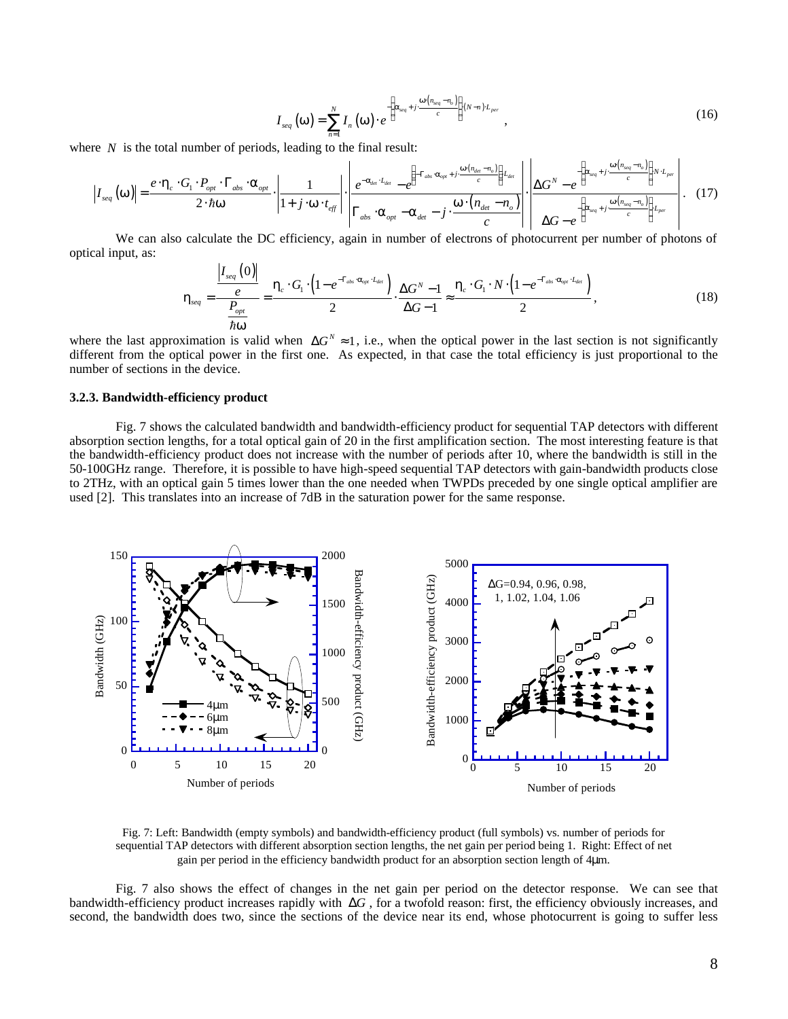$$
I_{seq}(\boldsymbol{w}) = \sum_{n=1}^{N} I_n(\boldsymbol{w}) \cdot e^{-\left(\boldsymbol{a}_{seq} + j \cdot \frac{\boldsymbol{w}(n_{seq} - n_o)}{c}\right)(N-n) \cdot L_{per}} ,
$$
 (16)

where *N* is the total number of periods, leading to the final result:

$$
\left| I_{seq}\left(\boldsymbol{w}\right) \right| = \frac{e \cdot \boldsymbol{h}_c \cdot G_1 \cdot P_{opt} \cdot \Gamma_{abs} \cdot \boldsymbol{a}_{opt}}{2 \cdot \hbar \boldsymbol{w}} \cdot \left| \frac{1}{1 + j \cdot \boldsymbol{w} \cdot t_{\text{eff}}} \right| \cdot \left| \frac{e^{-a_{\text{det}} \cdot L_{\text{det}}}}{\Gamma_{abs} \cdot \boldsymbol{a}_{opt}} - e^{\left(-\Gamma_{abs} \cdot \boldsymbol{a}_{opt} + j \cdot \frac{\boldsymbol{w}(n_{\text{det}} - n_o)}{c}\right) L_{\text{det}}}}{\Gamma_{abs} \cdot \boldsymbol{a}_{opt} - \boldsymbol{a}_{\text{det}} - j \cdot \frac{\boldsymbol{w} \cdot (n_{\text{det}} - n_o)}{c}} \right| \cdot \left| \frac{\Delta G^N - e^{\left(a_{\text{seq}} + j \cdot \frac{\boldsymbol{w}(n_{\text{seq}} - n_o)}{c}\right) N \cdot L_{per}}}{\Delta G - e^{\left(a_{\text{seq}} + j \cdot \frac{\boldsymbol{w}(n_{\text{seq}} - n_o)}{c}\right) L_{per}}} \right| \cdot (17)
$$

We can also calculate the DC efficiency, again in number of electrons of photocurrent per number of photons of optical input, as:

$$
\boldsymbol{h}_{seq} = \frac{\frac{\left|I_{seq}\left(0\right)\right|}{e}}{\frac{P_{opt}}{\hbar \boldsymbol{w}}} = \frac{\boldsymbol{h}_c \cdot G_1 \cdot \left(1 - e^{-\Gamma_{obs} \cdot \boldsymbol{a}_{opt} \cdot I_{det}}\right)}{2} \cdot \frac{\Delta G^N - 1}{\Delta G - 1} \approx \frac{\boldsymbol{h}_c \cdot G_1 \cdot N \cdot \left(1 - e^{-\Gamma_{abs} \cdot \boldsymbol{a}_{opt} \cdot I_{det}}\right)}{2}, \qquad (18)
$$

where the last approximation is valid when  $\Delta G^N \approx 1$ , i.e., when the optical power in the last section is not significantly different from the optical power in the first one. As expected, in that case the total efficiency is just proportional to the number of sections in the device.

#### **3.2.3. Bandwidth-efficiency product**

Fig. 7 shows the calculated bandwidth and bandwidth-efficiency product for sequential TAP detectors with different absorption section lengths, for a total optical gain of 20 in the first amplification section. The most interesting feature is that the bandwidth-efficiency product does not increase with the number of periods after 10, where the bandwidth is still in the 50-100GHz range. Therefore, it is possible to have high-speed sequential TAP detectors with gain-bandwidth products close to 2THz, with an optical gain 5 times lower than the one needed when TWPDs preceded by one single optical amplifier are used [2]. This translates into an increase of 7dB in the saturation power for the same response.



Fig. 7: Left: Bandwidth (empty symbols) and bandwidth-efficiency product (full symbols) vs. number of periods for sequential TAP detectors with different absorption section lengths, the net gain per period being 1. Right: Effect of net gain per period in the efficiency bandwidth product for an absorption section length of 4μm.

Fig. 7 also shows the effect of changes in the net gain per period on the detector response. We can see that bandwidth-efficiency product increases rapidly with  $\Delta G$ , for a twofold reason: first, the efficiency obviously increases, and second, the bandwidth does two, since the sections of the device near its end, whose photocurrent is going to suffer less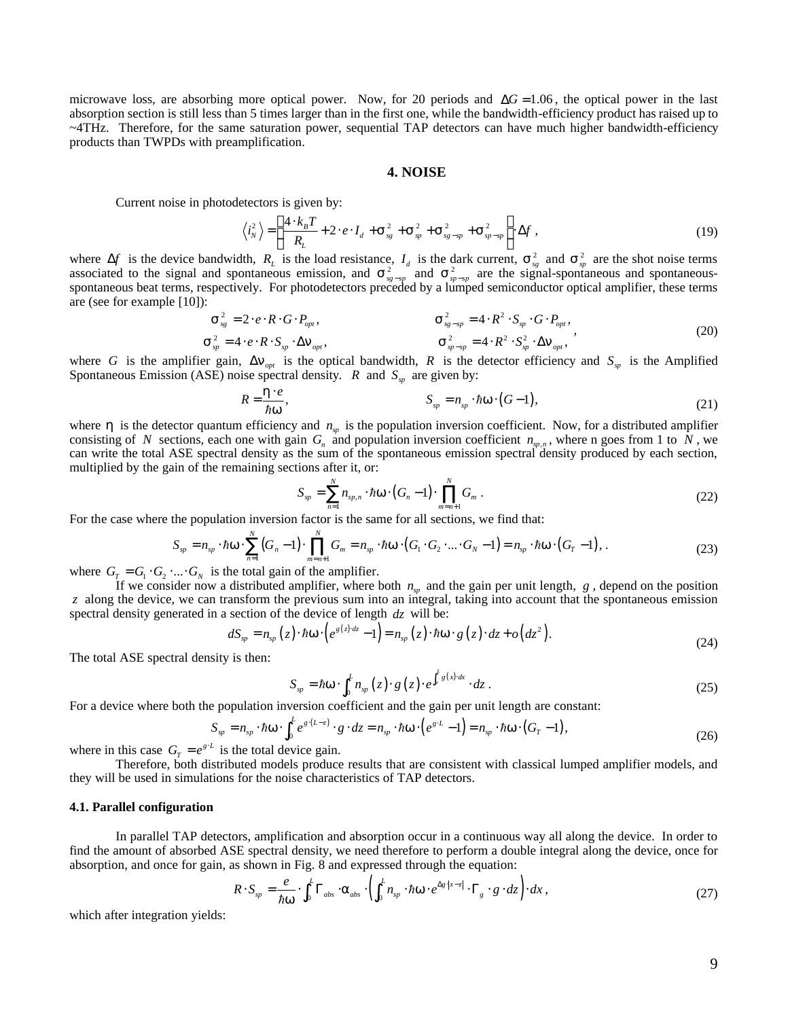microwave loss, are absorbing more optical power. Now, for 20 periods and  $\Delta G = 1.06$ , the optical power in the last absorption section is still less than 5 times larger than in the first one, while the bandwidth-efficiency product has raised up to ~4THz. Therefore, for the same saturation power, sequential TAP detectors can have much higher bandwidth-efficiency products than TWPDs with preamplification.

#### **4. NOISE**

Current noise in photodetectors is given by:

$$
\left\langle i_N^2 \right\rangle = \left( \frac{4 \cdot k_B T}{R_L} + 2 \cdot e \cdot I_d + \mathbf{S}_{sg}^2 + \mathbf{S}_{sp}^2 + \mathbf{S}_{sg-sp}^2 + \mathbf{S}_{sp-sp}^2 \right) \Delta f ,
$$
\n(19)

where  $\Delta f$  is the device bandwidth,  $R_L$  is the load resistance,  $I_d$  is the dark current,  $S_{sg}^2$  and  $S_{sp}^2$  are the shot noise terms associated to the signal and spontaneous emission, and  $s^2_{s_p-s_p}$  and  $s^2_{s_p-s_p}$  are the signal-spontaneous and spontaneousspontaneous beat terms, respectively. For photodetectors preceded by a lumped semiconductor optical amplifier, these terms are (see for example [10]):

$$
\mathbf{S}_{sg}^{2} = 2 \cdot e \cdot R \cdot G \cdot P_{opt}, \qquad \mathbf{S}_{sg-sp}^{2} = 4 \cdot R^{2} \cdot S_{sp} \cdot G \cdot P_{opt},
$$
\n
$$
\mathbf{S}_{sp}^{2} = 4 \cdot e \cdot R \cdot S_{sp} \cdot \Delta \mathbf{n}_{opt}, \qquad \mathbf{S}_{sp-sp}^{2} = 4 \cdot R^{2} \cdot S_{sp}^{2} \cdot \Delta \mathbf{n}_{opt}, \qquad (20)
$$

where *G* is the amplifier gain,  $\Delta \mathbf{n}_{opt}$  is the optical bandwidth, *R* is the detector efficiency and  $S_p$  is the Amplified Spontaneous Emission (ASE) noise spectral density. *R* and  $S_{sp}$  are given by:

$$
R = \frac{\mathbf{h} \cdot e}{\hbar \mathbf{w}}, \qquad S_{sp} = n_{sp} \cdot \hbar \mathbf{w} \cdot (G - 1), \qquad (21)
$$

where  $h$  is the detector quantum efficiency and  $n<sub>w</sub>$  is the population inversion coefficient. Now, for a distributed amplifier consisting of *N* sections, each one with gain  $G_n$  and population inversion coefficient  $n_{sp,n}$ , where n goes from 1 to *N*, we can write the total ASE spectral density as the sum of the spontaneous emission spectral density produced by each section, multiplied by the gain of the remaining sections after it, or:

$$
S_{sp} = \sum_{n=1}^{N} n_{sp,n} \cdot \hbar \mathbf{w} \cdot (G_n - 1) \cdot \prod_{m=n+1}^{N} G_m . \qquad (22)
$$

For the case where the population inversion factor is the same for all sections, we find that:

$$
S_{sp} = n_{sp} \cdot \hbar \mathbf{w} \cdot \sum_{n=1}^{N} (G_n - 1) \cdot \prod_{m=n+1}^{N} G_m = n_{sp} \cdot \hbar \mathbf{w} \cdot (G_1 \cdot G_2 \cdot ... \cdot G_N - 1) = n_{sp} \cdot \hbar \mathbf{w} \cdot (G_T - 1),
$$
\n(23)

where  $G_T = G_1 \cdot G_2 \cdot ... \cdot G_N$  is the total gain of the amplifier.

If we consider now a distributed amplifier, where both  $n_{\rm w}$  and the gain per unit length,  $g$ , depend on the position *z* along the device, we can transform the previous sum into an integral, taking into account that the spontaneous emission spectral density generated in a section of the device of length *dz* will be:

$$
dS_{sp} = n_{sp}(z) \cdot \hbar \mathbf{w} \cdot \left( e^{g(z) \cdot dz} - 1 \right) = n_{sp}(z) \cdot \hbar \mathbf{w} \cdot g(z) \cdot dz + o\left( dz^{2} \right). \tag{24}
$$

The total ASE spectral density is then:

$$
S_{sp} = \hbar \mathbf{w} \cdot \int_0^L n_{sp}(z) \cdot g(z) \cdot e^{\int_z^L g(x) \cdot dx} \cdot dz \,. \tag{25}
$$

For a device where both the population inversion coefficient and the gain per unit length are constant:

$$
S_{sp} = n_{sp} \cdot \hbar \mathbf{w} \cdot \int_0^L e^{g \cdot (L - z)} \cdot g \cdot dz = n_{sp} \cdot \hbar \mathbf{w} \cdot \left( e^{g \cdot L} - 1 \right) = n_{sp} \cdot \hbar \mathbf{w} \cdot \left( G_T - 1 \right), \tag{26}
$$

where in this case  $G_T = e^{g^L}$  is the total device gain.

Therefore, both distributed models produce results that are consistent with classical lumped amplifier models, and they will be used in simulations for the noise characteristics of TAP detectors.

#### **4.1. Parallel configuration**

In parallel TAP detectors, amplification and absorption occur in a continuous way all along the device. In order to find the amount of absorbed ASE spectral density, we need therefore to perform a double integral along the device, once for absorption, and once for gain, as shown in Fig. 8 and expressed through the equation:

$$
R \cdot S_{sp} = \frac{e}{\hbar w} \cdot \int_0^L \Gamma_{abs} \cdot \mathbf{a}_{abs} \cdot \left( \int_0^L n_{sp} \cdot \hbar w \cdot e^{\Delta g \cdot |x - z|} \cdot \Gamma_g \cdot g \cdot dz \right) \cdot dx \,, \tag{27}
$$

which after integration yields: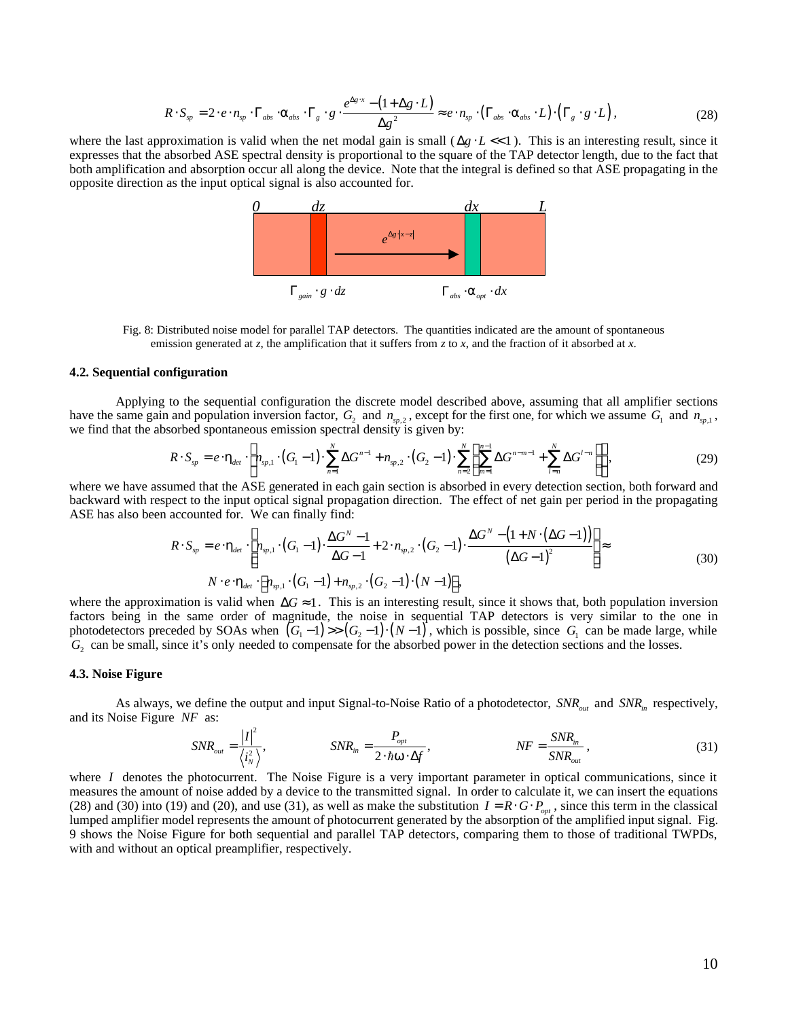$$
R \cdot S_{sp} = 2 \cdot e \cdot n_{sp} \cdot \Gamma_{abs} \cdot \mathbf{a}_{abs} \cdot \Gamma_{g} \cdot g \cdot \frac{e^{\Delta g \cdot x} - (1 + \Delta g \cdot L)}{\Delta g^{2}} \approx e \cdot n_{sp} \cdot (\Gamma_{abs} \cdot \mathbf{a}_{abs} \cdot L) \cdot (\Gamma_{g} \cdot g \cdot L), \qquad (28)
$$

where the last approximation is valid when the net modal gain is small  $(\Delta g \cdot L \ll 1)$ . This is an interesting result, since it expresses that the absorbed ASE spectral density is proportional to the square of the TAP detector length, due to the fact that both amplification and absorption occur all along the device. Note that the integral is defined so that ASE propagating in the opposite direction as the input optical signal is also accounted for.



Fig. 8: Distributed noise model for parallel TAP detectors. The quantities indicated are the amount of spontaneous emission generated at *z*, the amplification that it suffers from *z* to *x*, and the fraction of it absorbed at *x*.

## **4.2. Sequential configuration**

Applying to the sequential configuration the discrete model described above, assuming that all amplifier sections have the same gain and population inversion factor,  $G_2$  and  $n_{sp,2}$ , except for the first one, for which we assume  $G_1$  and  $n_{sp,1}$ , we find that the absorbed spontaneous emission spectral density is given by:

$$
R \cdot S_{sp} = e \cdot \mathbf{h}_{\text{det}} \cdot \left[ n_{sp,1} \cdot (G_1 - 1) \cdot \sum_{n=1}^{N} \Delta G^{n-1} + n_{sp,2} \cdot (G_2 - 1) \cdot \sum_{n=2}^{N} \left( \sum_{m=1}^{n-1} \Delta G^{n-m-1} + \sum_{l=n}^{N} \Delta G^{l-n} \right) \right],
$$
 (29)

where we have assumed that the ASE generated in each gain section is absorbed in every detection section, both forward and backward with respect to the input optical signal propagation direction. The effect of net gain per period in the propagating ASE has also been accounted for. We can finally find:

$$
R \cdot S_{sp} = e \cdot \mathbf{h}_{det} \cdot \left[ n_{sp,1} \cdot (G_1 - 1) \cdot \frac{\Delta G^N - 1}{\Delta G - 1} + 2 \cdot n_{sp,2} \cdot (G_2 - 1) \cdot \frac{\Delta G^N - (1 + N \cdot (\Delta G - 1))}{(\Delta G - 1)^2} \right] \approx
$$
  
\n
$$
N \cdot e \cdot \mathbf{h}_{det} \cdot \left[ n_{sp,1} \cdot (G_1 - 1) + n_{sp,2} \cdot (G_2 - 1) \cdot (N - 1) \right],
$$
\n(30)

where the approximation is valid when  $\Delta G \approx 1$ . This is an interesting result, since it shows that, both population inversion factors being in the same order of magnitude, the noise in sequential TAP detectors is very similar to the one in photodetectors preceded by SOAs when  $(G_1 - 1)$  >>  $(G_2 - 1) \cdot (N - 1)$ , which is possible, since  $G_1$  can be made large, while  $G_2$  can be small, since it's only needed to compensate for the absorbed power in the detection sections and the losses.

#### **4.3. Noise Figure**

As always, we define the output and input Signal-to-Noise Ratio of a photodetector,  $SNR_{out}$  and  $SNR_{in}$  respectively, and its Noise Figure *NF* as:

$$
SNR_{out} = \frac{|I|^2}{\langle i_N^2 \rangle}, \qquad SNR_{in} = \frac{P_{opt}}{2 \cdot \hbar \mathbf{w} \cdot \Delta f}, \qquad NF = \frac{SNR_{in}}{SNR_{out}}, \qquad (31)
$$

where *I* denotes the photocurrent. The Noise Figure is a very important parameter in optical communications, since it measures the amount of noise added by a device to the transmitted signal. In order to calculate it, we can insert the equations (28) and (30) into (19) and (20), and use (31), as well as make the substitution  $I = R \cdot G \cdot P_{opt}$ , since this term in the classical lumped amplifier model represents the amount of photocurrent generated by the absorption of the amplified input signal. Fig. 9 shows the Noise Figure for both sequential and parallel TAP detectors, comparing them to those of traditional TWPDs, with and without an optical preamplifier, respectively.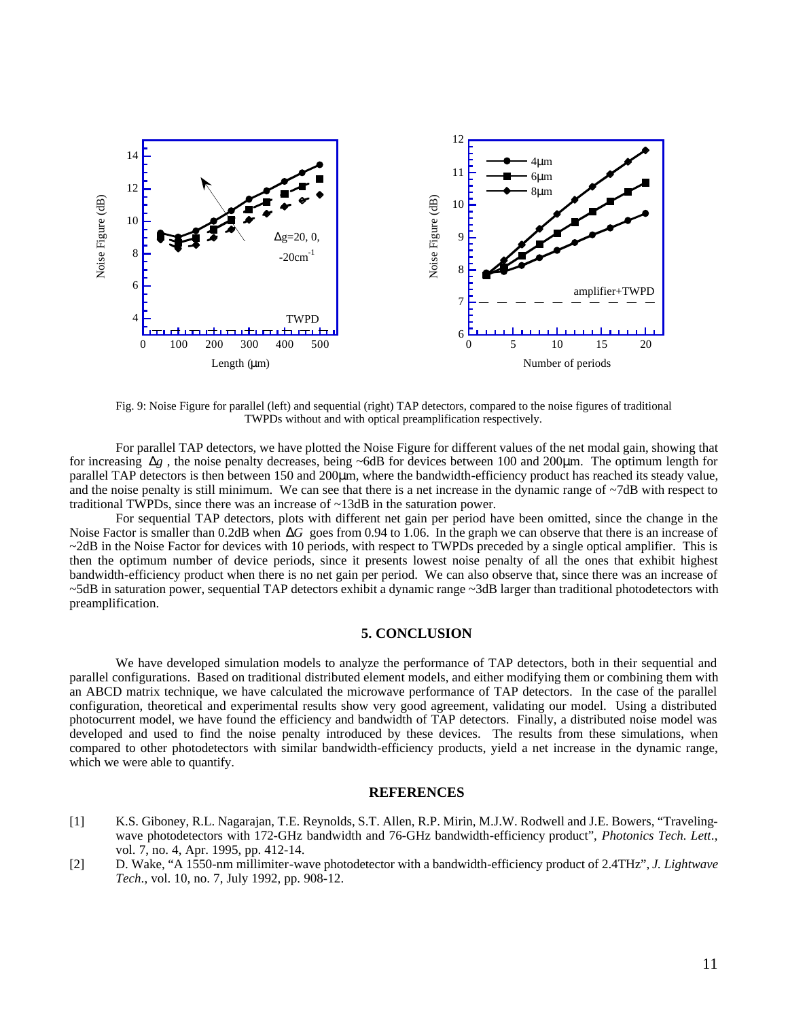

Fig. 9: Noise Figure for parallel (left) and sequential (right) TAP detectors, compared to the noise figures of traditional TWPDs without and with optical preamplification respectively.

For parallel TAP detectors, we have plotted the Noise Figure for different values of the net modal gain, showing that for increasing Δ*g* , the noise penalty decreases, being ~6dB for devices between 100 and 200μm. The optimum length for parallel TAP detectors is then between 150 and 200μm, where the bandwidth-efficiency product has reached its steady value, and the noise penalty is still minimum. We can see that there is a net increase in the dynamic range of ~7dB with respect to traditional TWPDs, since there was an increase of ~13dB in the saturation power.

For sequential TAP detectors, plots with different net gain per period have been omitted, since the change in the Noise Factor is smaller than 0.2dB when Δ*G* goes from 0.94 to 1.06. In the graph we can observe that there is an increase of  $\sim$ 2dB in the Noise Factor for devices with 10 periods, with respect to TWPDs preceded by a single optical amplifier. This is then the optimum number of device periods, since it presents lowest noise penalty of all the ones that exhibit highest bandwidth-efficiency product when there is no net gain per period. We can also observe that, since there was an increase of ~5dB in saturation power, sequential TAP detectors exhibit a dynamic range ~3dB larger than traditional photodetectors with preamplification.

# **5. CONCLUSION**

We have developed simulation models to analyze the performance of TAP detectors, both in their sequential and parallel configurations. Based on traditional distributed element models, and either modifying them or combining them with an ABCD matrix technique, we have calculated the microwave performance of TAP detectors. In the case of the parallel configuration, theoretical and experimental results show very good agreement, validating our model. Using a distributed photocurrent model, we have found the efficiency and bandwidth of TAP detectors. Finally, a distributed noise model was developed and used to find the noise penalty introduced by these devices. The results from these simulations, when compared to other photodetectors with similar bandwidth-efficiency products, yield a net increase in the dynamic range, which we were able to quantify.

# **REFERENCES**

- [1] K.S. Giboney, R.L. Nagarajan, T.E. Reynolds, S.T. Allen, R.P. Mirin, M.J.W. Rodwell and J.E. Bowers, "Travelingwave photodetectors with 172-GHz bandwidth and 76-GHz bandwidth-efficiency product", *Photonics Tech. Lett*., vol. 7, no. 4, Apr. 1995, pp. 412-14.
- [2] D. Wake, "A 1550-nm millimiter-wave photodetector with a bandwidth-efficiency product of 2.4THz", *J. Lightwave Tech*., vol. 10, no. 7, July 1992, pp. 908-12.